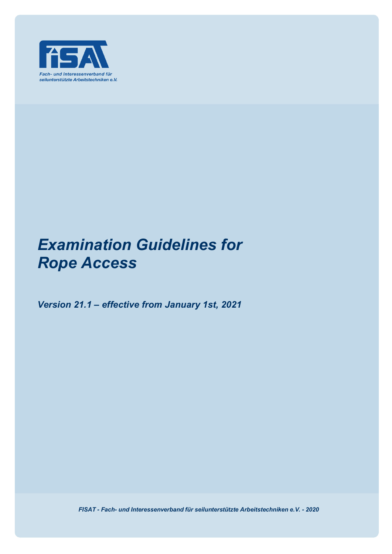

# *Examination Guidelines for Rope Access*

*Version 21.1 – effective from January 1st, 2021*

*FISAT - Fach- und Interessenverband für seilunterstützte Arbeitstechniken e.V. - 2020*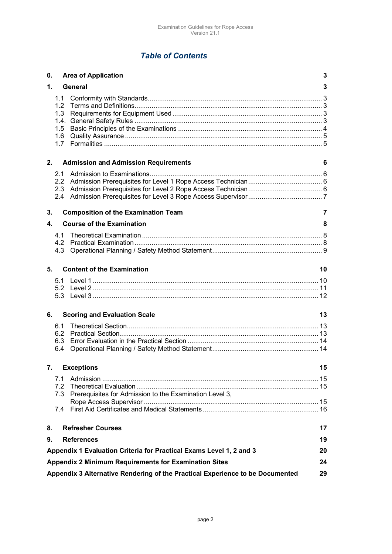# *Table of Contents*

| 0. |                                                                                     | <b>Area of Application</b>                                          | 3  |
|----|-------------------------------------------------------------------------------------|---------------------------------------------------------------------|----|
| 1. |                                                                                     | General                                                             | 3  |
|    | 1.1<br>1.2<br>1.3<br>1.5<br>1.6<br>1.7                                              |                                                                     |    |
| 2. |                                                                                     | <b>Admission and Admission Requirements</b>                         | 6  |
|    | 2.1<br>$2.4^{\circ}$                                                                |                                                                     |    |
| 3. |                                                                                     | <b>Composition of the Examination Team</b>                          | 7  |
| 4. |                                                                                     | <b>Course of the Examination</b>                                    | 8  |
|    | 4.1                                                                                 |                                                                     |    |
|    | 4.2<br>4.3                                                                          |                                                                     |    |
|    |                                                                                     |                                                                     |    |
| 5. |                                                                                     | <b>Content of the Examination</b>                                   | 10 |
|    | 5.1                                                                                 |                                                                     |    |
|    |                                                                                     |                                                                     |    |
|    |                                                                                     |                                                                     |    |
| 6. |                                                                                     | <b>Scoring and Evaluation Scale</b>                                 | 13 |
|    | 6.1                                                                                 |                                                                     |    |
|    | 6.2<br>6.3                                                                          |                                                                     |    |
|    | 6.4                                                                                 |                                                                     |    |
|    |                                                                                     |                                                                     |    |
| 7. |                                                                                     | <b>Exceptions</b>                                                   | 15 |
|    | 7.1                                                                                 |                                                                     |    |
|    |                                                                                     | 7.3 Prerequisites for Admission to the Examination Level 3,         |    |
|    |                                                                                     |                                                                     |    |
|    | 7.4                                                                                 |                                                                     |    |
|    |                                                                                     |                                                                     |    |
| 8. |                                                                                     | <b>Refresher Courses</b>                                            | 17 |
| 9. |                                                                                     | <b>References</b>                                                   | 19 |
|    |                                                                                     | Appendix 1 Evaluation Criteria for Practical Exams Level 1, 2 and 3 | 20 |
|    |                                                                                     | <b>Appendix 2 Minimum Requirements for Examination Sites</b>        | 24 |
|    | Appendix 3 Alternative Rendering of the Practical Experience to be Documented<br>29 |                                                                     |    |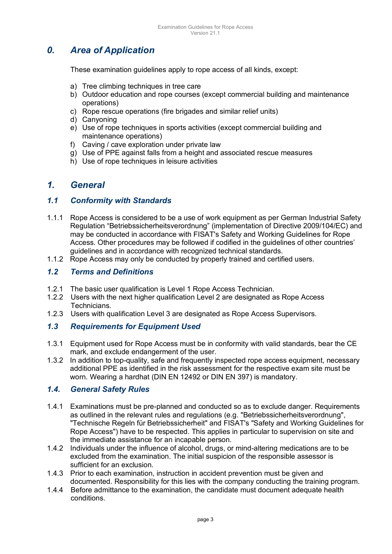# *0. Area of Application*

These examination guidelines apply to rope access of all kinds, except:

- a) Tree climbing techniques in tree care
- b) Outdoor education and rope courses (except commercial building and maintenance operations)
- c) Rope rescue operations (fire brigades and similar relief units)
- d) Canyoning
- e) Use of rope techniques in sports activities (except commercial building and maintenance operations)
- f) Caving / cave exploration under private law
- g) Use of PPE against falls from a height and associated rescue measures
- h) Use of rope techniques in leisure activities

# *1. General*

### *1.1 Conformity with Standards*

- 1.1.1 Rope Access is considered to be a use of work equipment as per German Industrial Safety Regulation "Betriebssicherheitsverordnung" (implementation of Directive 2009/104/EC) and may be conducted in accordance with FISAT's Safety and Working Guidelines for Rope Access. Other procedures may be followed if codified in the guidelines of other countries' guidelines and in accordance with recognized technical standards.
- 1.1.2 Rope Access may only be conducted by properly trained and certified users.

### *1.2 Terms and Definitions*

- 1.2.1 The basic user qualification is Level 1 Rope Access Technician.
- 1.2.2 Users with the next higher qualification Level 2 are designated as Rope Access Technicians.
- 1.2.3 Users with qualification Level 3 are designated as Rope Access Supervisors.

### *1.3 Requirements for Equipment Used*

- 1.3.1 Equipment used for Rope Access must be in conformity with valid standards, bear the CE mark, and exclude endangerment of the user.
- 1.3.2 In addition to top-quality, safe and frequently inspected rope access equipment, necessary additional PPE as identified in the risk assessment for the respective exam site must be worn. Wearing a hardhat (DIN EN 12492 or DIN EN 397) is mandatory.

### *1.4. General Safety Rules*

- 1.4.1 Examinations must be pre-planned and conducted so as to exclude danger. Requirements as outlined in the relevant rules and regulations (e.g. "Betriebssicherheitsverordnung", "Technische Regeln für Betriebssicherheit" and FISAT's "Safety and Working Guidelines for Rope Access") have to be respected. This applies in particular to supervision on site and the immediate assistance for an incapable person.
- 1.4.2 Individuals under the influence of alcohol, drugs, or mind-altering medications are to be excluded from the examination. The initial suspicion of the responsible assessor is sufficient for an exclusion.
- 1.4.3 Prior to each examination, instruction in accident prevention must be given and documented. Responsibility for this lies with the company conducting the training program.
- 1.4.4 Before admittance to the examination, the candidate must document adequate health conditions.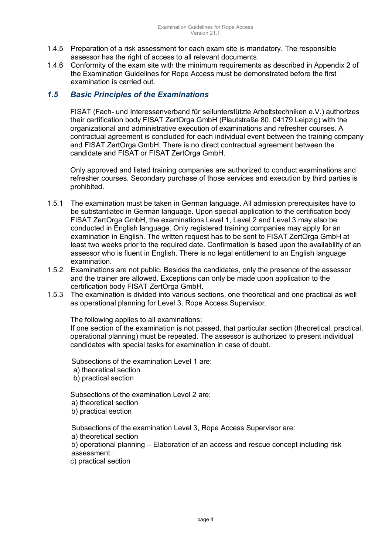- 1.4.5 Preparation of a risk assessment for each exam site is mandatory. The responsible assessor has the right of access to all relevant documents.
- 1.4.6 Conformity of the exam site with the minimum requirements as described in Appendix 2 of the Examination Guidelines for Rope Access must be demonstrated before the first examination is carried out.

### *1.5 Basic Principles of the Examinations*

FISAT (Fach- und Interessenverband für seilunterstützte Arbeitstechniken e.V.) authorizes their certification body FISAT ZertOrga GmbH (Plautstraße 80, 04179 Leipzig) with the organizational and administrative execution of examinations and refresher courses. A contractual agreement is concluded for each individual event between the training company and FISAT ZertOrga GmbH. There is no direct contractual agreement between the candidate and FISAT or FISAT ZertOrga GmbH.

Only approved and listed training companies are authorized to conduct examinations and refresher courses. Secondary purchase of those services and execution by third parties is prohibited.

- 1.5.1 The examination must be taken in German language. All admission prerequisites have to be substantiated in German language. Upon special application to the certification body FISAT ZertOrga GmbH, the examinations Level 1, Level 2 and Level 3 may also be conducted in English language. Only registered training companies may apply for an examination in English. The written request has to be sent to FISAT ZertOrga GmbH at least two weeks prior to the required date. Confirmation is based upon the availability of an assessor who is fluent in English. There is no legal entitlement to an English language examination.
- 1.5.2 Examinations are not public. Besides the candidates, only the presence of the assessor and the trainer are allowed. Exceptions can only be made upon application to the certification body FISAT ZertOrga GmbH.
- 1.5.3 The examination is divided into various sections, one theoretical and one practical as well as operational planning for Level 3, Rope Access Supervisor.

The following applies to all examinations:

If one section of the examination is not passed, that particular section (theoretical, practical, operational planning) must be repeated. The assessor is authorized to present individual candidates with special tasks for examination in case of doubt.

Subsections of the examination Level 1 are:

a) theoretical section

b) practical section

Subsections of the examination Level 2 are:

- a) theoretical section
- b) practical section

Subsections of the examination Level 3, Rope Access Supervisor are:

a) theoretical section

b) operational planning – Elaboration of an access and rescue concept including risk assessment

c) practical section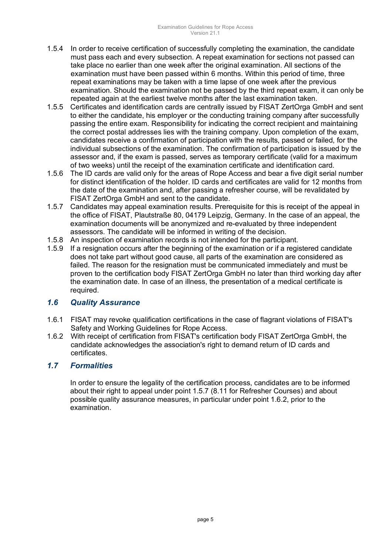- 1.5.4 In order to receive certification of successfully completing the examination, the candidate must pass each and every subsection. A repeat examination for sections not passed can take place no earlier than one week after the original examination. All sections of the examination must have been passed within 6 months. Within this period of time, three repeat examinations may be taken with a time lapse of one week after the previous examination. Should the examination not be passed by the third repeat exam, it can only be repeated again at the earliest twelve months after the last examination taken.
- 1.5.5 Certificates and identification cards are centrally issued by FISAT ZertOrga GmbH and sent to either the candidate, his employer or the conducting training company after successfully passing the entire exam. Responsibility for indicating the correct recipient and maintaining the correct postal addresses lies with the training company. Upon completion of the exam, candidates receive a confirmation of participation with the results, passed or failed, for the individual subsections of the examination. The confirmation of participation is issued by the assessor and, if the exam is passed, serves as temporary certificate (valid for a maximum of two weeks) until the receipt of the examination certificate and identification card.
- 1.5.6 The ID cards are valid only for the areas of Rope Access and bear a five digit serial number for distinct identification of the holder. ID cards and certificates are valid for 12 months from the date of the examination and, after passing a refresher course, will be revalidated by FISAT ZertOrga GmbH and sent to the candidate.
- 1.5.7 Candidates may appeal examination results. Prerequisite for this is receipt of the appeal in the office of FISAT, Plautstraße 80, 04179 Leipzig, Germany. In the case of an appeal, the examination documents will be anonymized and re-evaluated by three independent assessors. The candidate will be informed in writing of the decision.
- 1.5.8 An inspection of examination records is not intended for the participant.
- 1.5.9 If a resignation occurs after the beginning of the examination or if a registered candidate does not take part without good cause, all parts of the examination are considered as failed. The reason for the resignation must be communicated immediately and must be proven to the certification body FISAT ZertOrga GmbH no later than third working day after the examination date. In case of an illness, the presentation of a medical certificate is required.

### *1.6 Quality Assurance*

- 1.6.1 FISAT may revoke qualification certifications in the case of flagrant violations of FISAT's Safety and Working Guidelines for Rope Access.
- 1.6.2 With receipt of certification from FISAT's certification body FISAT ZertOrga GmbH, the candidate acknowledges the association's right to demand return of ID cards and certificates.

# *1.7 Formalities*

In order to ensure the legality of the certification process, candidates are to be informed about their right to appeal under point 1.5.7 (8.11 for Refresher Courses) and about possible quality assurance measures, in particular under point 1.6.2, prior to the examination.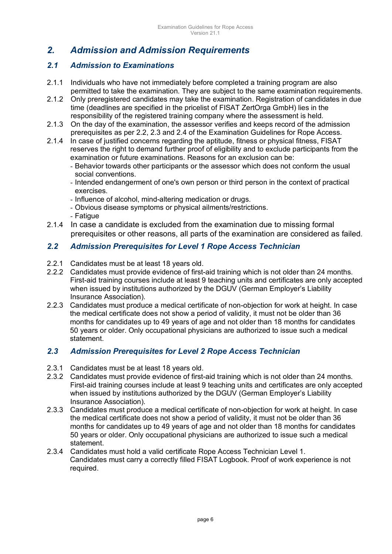# *2. Admission and Admission Requirements*

# *2.1 Admission to Examinations*

- 2.1.1 Individuals who have not immediately before completed a training program are also permitted to take the examination. They are subject to the same examination requirements.
- 2.1.2 Only preregistered candidates may take the examination. Registration of candidates in due time (deadlines are specified in the pricelist of FISAT ZertOrga GmbH) lies in the responsibility of the registered training company where the assessment is held.
- 2.1.3 On the day of the examination, the assessor verifies and keeps record of the admission prerequisites as per 2.2, 2.3 and 2.4 of the Examination Guidelines for Rope Access.
- 2.1.4 In case of justified concerns regarding the aptitude, fitness or physical fitness, FISAT reserves the right to demand further proof of eligibility and to exclude participants from the examination or future examinations. Reasons for an exclusion can be:
	- Behavior towards other participants or the assessor which does not conform the usual social conventions.
	- Intended endangerment of one's own person or third person in the context of practical exercises.
	- Influence of alcohol, mind-altering medication or drugs.
	- Obvious disease symptoms or physical ailments/restrictions.
	- Fatigue
- 2.1.4 In case a candidate is excluded from the examination due to missing formal prerequisites or other reasons, all parts of the examination are considered as failed.

## *2.2 Admission Prerequisites for Level 1 Rope Access Technician*

- 2.2.1 Candidates must be at least 18 years old.
- 2.2.2 Candidates must provide evidence of first-aid training which is not older than 24 months. First-aid training courses include at least 9 teaching units and certificates are only accepted when issued by institutions authorized by the DGUV (German Employer's Liability Insurance Association).
- 2.2.3 Candidates must produce a medical certificate of non-objection for work at height. In case the medical certificate does not show a period of validity, it must not be older than 36 months for candidates up to 49 years of age and not older than 18 months for candidates 50 years or older. Only occupational physicians are authorized to issue such a medical statement.

## *2.3 Admission Prerequisites for Level 2 Rope Access Technician*

- 2.3.1 Candidates must be at least 18 years old.<br>2.3.2 Candidates must provide evidence of first-
- 2.3.2 Candidates must provide evidence of first-aid training which is not older than 24 months. First-aid training courses include at least 9 teaching units and certificates are only accepted when issued by institutions authorized by the DGUV (German Employer's Liability Insurance Association).
- 2.3.3 Candidates must produce a medical certificate of non-objection for work at height. In case the medical certificate does not show a period of validity, it must not be older than 36 months for candidates up to 49 years of age and not older than 18 months for candidates 50 years or older. Only occupational physicians are authorized to issue such a medical statement.
- 2.3.4 Candidates must hold a valid certificate Rope Access Technician Level 1. Candidates must carry a correctly filled FISAT Logbook. Proof of work experience is not required.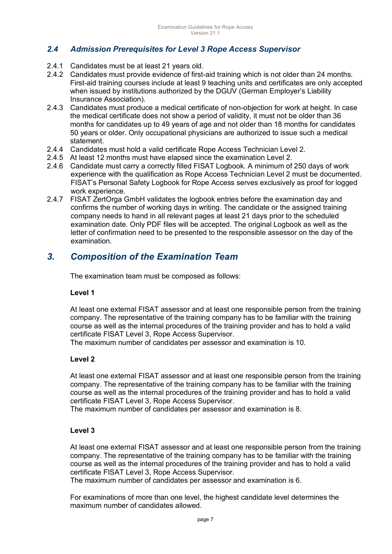# *2.4 Admission Prerequisites for Level 3 Rope Access Supervisor*

- 2.4.1 Candidates must be at least 21 years old.
- 2.4.2 Candidates must provide evidence of first-aid training which is not older than 24 months. First-aid training courses include at least 9 teaching units and certificates are only accepted when issued by institutions authorized by the DGUV (German Employer's Liability Insurance Association).
- 2.4.3 Candidates must produce a medical certificate of non-objection for work at height. In case the medical certificate does not show a period of validity, it must not be older than 36 months for candidates up to 49 years of age and not older than 18 months for candidates 50 years or older. Only occupational physicians are authorized to issue such a medical statement.
- 2.4.4 Candidates must hold a valid certificate Rope Access Technician Level 2.
- 2.4.5 At least 12 months must have elapsed since the examination Level 2.
- 2.4.6 Candidate must carry a correctly filled FISAT Logbook. A minimum of 250 days of work experience with the qualification as Rope Access Technician Level 2 must be documented. FISAT's Personal Safety Logbook for Rope Access serves exclusively as proof for logged work experience.
- 2.4.7 FISAT ZertOrga GmbH validates the logbook entries before the examination day and confirms the number of working days in writing. The candidate or the assigned training company needs to hand in all relevant pages at least 21 days prior to the scheduled examination date. Only PDF files will be accepted. The original Logbook as well as the letter of confirmation need to be presented to the responsible assessor on the day of the examination.

# *3. Composition of the Examination Team*

The examination team must be composed as follows:

### **Level 1**

At least one external FISAT assessor and at least one responsible person from the training company. The representative of the training company has to be familiar with the training course as well as the internal procedures of the training provider and has to hold a valid certificate FISAT Level 3, Rope Access Supervisor.

The maximum number of candidates per assessor and examination is 10.

### **Level 2**

At least one external FISAT assessor and at least one responsible person from the training company. The representative of the training company has to be familiar with the training course as well as the internal procedures of the training provider and has to hold a valid certificate FISAT Level 3, Rope Access Supervisor.

The maximum number of candidates per assessor and examination is 8.

### **Level 3**

At least one external FISAT assessor and at least one responsible person from the training company. The representative of the training company has to be familiar with the training course as well as the internal procedures of the training provider and has to hold a valid certificate FISAT Level 3, Rope Access Supervisor.

The maximum number of candidates per assessor and examination is 6.

For examinations of more than one level, the highest candidate level determines the maximum number of candidates allowed.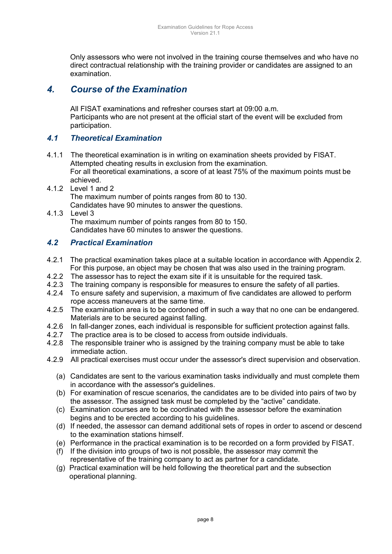Only assessors who were not involved in the training course themselves and who have no direct contractual relationship with the training provider or candidates are assigned to an examination.

# *4. Course of the Examination*

All FISAT examinations and refresher courses start at 09:00 a.m. Participants who are not present at the official start of the event will be excluded from participation.

### *4.1 Theoretical Examination*

- 4.1.1 The theoretical examination is in writing on examination sheets provided by FISAT. Attempted cheating results in exclusion from the examination. For all theoretical examinations, a score of at least 75% of the maximum points must be achieved.
- 4.1.2 Level 1 and 2 The maximum number of points ranges from 80 to 130. Candidates have 90 minutes to answer the questions.
- 4.1.3 Level 3 The maximum number of points ranges from 80 to 150. Candidates have 60 minutes to answer the questions.

# *4.2 Practical Examination*

- 4.2.1 The practical examination takes place at a suitable location in accordance with Appendix 2. For this purpose, an object may be chosen that was also used in the training program.
- 4.2.2 The assessor has to reject the exam site if it is unsuitable for the required task.
- 4.2.3 The training company is responsible for measures to ensure the safety of all parties.
- 4.2.4 To ensure safety and supervision, a maximum of five candidates are allowed to perform rope access maneuvers at the same time.
- 4.2.5 The examination area is to be cordoned off in such a way that no one can be endangered. Materials are to be secured against falling.
- 4.2.6 In fall-danger zones, each individual is responsible for sufficient protection against falls.
- 4.2.7 The practice area is to be closed to access from outside individuals.
- 4.2.8 The responsible trainer who is assigned by the training company must be able to take immediate action.
- 4.2.9 All practical exercises must occur under the assessor's direct supervision and observation.
	- (a) Candidates are sent to the various examination tasks individually and must complete them in accordance with the assessor's guidelines.
	- (b) For examination of rescue scenarios, the candidates are to be divided into pairs of two by the assessor. The assigned task must be completed by the "active" candidate.
	- (c) Examination courses are to be coordinated with the assessor before the examination begins and to be erected according to his guidelines.
	- (d) If needed, the assessor can demand additional sets of ropes in order to ascend or descend to the examination stations himself.
	- (e) Performance in the practical examination is to be recorded on a form provided by FISAT.
	- (f) If the division into groups of two is not possible, the assessor may commit the representative of the training company to act as partner for a candidate.
	- (g) Practical examination will be held following the theoretical part and the subsection operational planning.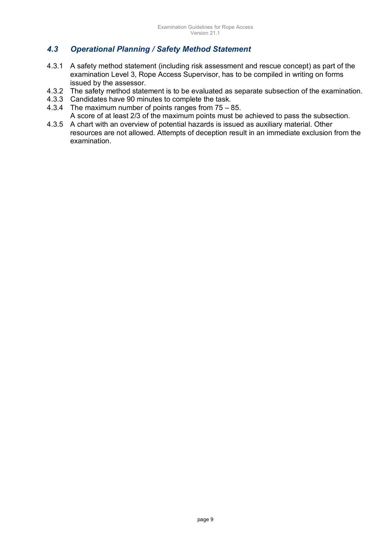# *4.3 Operational Planning / Safety Method Statement*

- 4.3.1 A safety method statement (including risk assessment and rescue concept) as part of the examination Level 3, Rope Access Supervisor, has to be compiled in writing on forms issued by the assessor.
- 4.3.2 The safety method statement is to be evaluated as separate subsection of the examination.
- 4.3.3 Candidates have 90 minutes to complete the task.
- 4.3.4 The maximum number of points ranges from 75 85. A score of at least 2/3 of the maximum points must be achieved to pass the subsection.
- 4.3.5 A chart with an overview of potential hazards is issued as auxiliary material. Other resources are not allowed. Attempts of deception result in an immediate exclusion from the examination.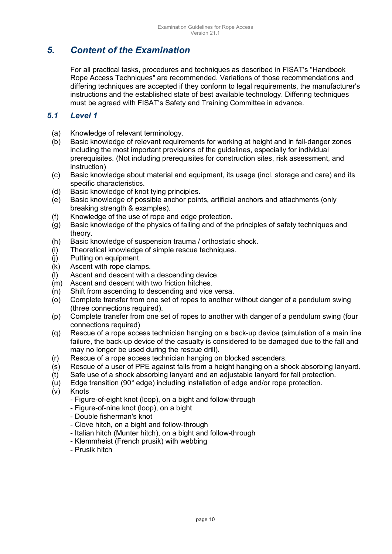# *5. Content of the Examination*

For all practical tasks, procedures and techniques as described in FISAT's "Handbook Rope Access Techniques" are recommended. Variations of those recommendations and differing techniques are accepted if they conform to legal requirements, the manufacturer's instructions and the established state of best available technology. Differing techniques must be agreed with FISAT's Safety and Training Committee in advance.

### *5.1 Level 1*

- (a) Knowledge of relevant terminology.
- (b) Basic knowledge of relevant requirements for working at height and in fall-danger zones including the most important provisions of the guidelines, especially for individual prerequisites. (Not including prerequisites for construction sites, risk assessment, and instruction)
- (c) Basic knowledge about material and equipment, its usage (incl. storage and care) and its specific characteristics.
- (d) Basic knowledge of knot tying principles.
- (e) Basic knowledge of possible anchor points, artificial anchors and attachments (only breaking strength & examples).
- (f) Knowledge of the use of rope and edge protection.
- (g) Basic knowledge of the physics of falling and of the principles of safety techniques and theory.
- (h) Basic knowledge of suspension trauma / orthostatic shock.
- (i) Theoretical knowledge of simple rescue techniques.
- (j) Putting on equipment.
- (k) Ascent with rope clamps.
- (l) Ascent and descent with a descending device.
- (m) Ascent and descent with two friction hitches.
- $(n)$  Shift from ascending to descending and vice versa.
- (o) Complete transfer from one set of ropes to another without danger of a pendulum swing (three connections required).
- (p) Complete transfer from one set of ropes to another with danger of a pendulum swing (four connections required)
- (q) Rescue of a rope access technician hanging on a back-up device (simulation of a main line failure, the back-up device of the casualty is considered to be damaged due to the fall and may no longer be used during the rescue drill).
- (r) Rescue of a rope access technician hanging on blocked ascenders.
- (s) Rescue of a user of PPE against falls from a height hanging on a shock absorbing lanyard.
- (t) Safe use of a shock absorbing lanyard and an adjustable lanyard for fall protection.
- (u) Edge transition (90° edge) including installation of edge and/or rope protection.
- (v) Knots
	- Figure-of-eight knot (loop), on a bight and follow-through
	- Figure-of-nine knot (loop), on a bight
	- Double fisherman's knot
	- Clove hitch, on a bight and follow-through
	- Italian hitch (Munter hitch), on a bight and follow-through
	- Klemmheist (French prusik) with webbing
	- Prusik hitch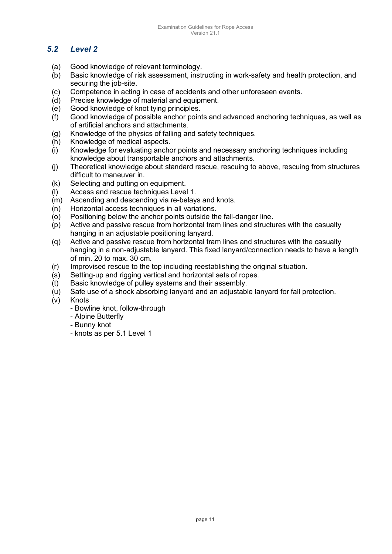# *5.2 Level 2*

- (a) Good knowledge of relevant terminology.
- (b) Basic knowledge of risk assessment, instructing in work-safety and health protection, and securing the job-site.
- (c) Competence in acting in case of accidents and other unforeseen events.
- (d) Precise knowledge of material and equipment.
- (e) Good knowledge of knot tying principles.
- (f) Good knowledge of possible anchor points and advanced anchoring techniques, as well as of artificial anchors and attachments.
- (g) Knowledge of the physics of falling and safety techniques.
- (h) Knowledge of medical aspects.
- (i) Knowledge for evaluating anchor points and necessary anchoring techniques including knowledge about transportable anchors and attachments.
- (j) Theoretical knowledge about standard rescue, rescuing to above, rescuing from structures difficult to maneuver in.
- (k) Selecting and putting on equipment.
- (l) Access and rescue techniques Level 1.
- (m) Ascending and descending via re-belays and knots.
- (n) Horizontal access techniques in all variations.
- (o) Positioning below the anchor points outside the fall-danger line.
- (p) Active and passive rescue from horizontal tram lines and structures with the casualty hanging in an adjustable positioning lanyard.
- (q) Active and passive rescue from horizontal tram lines and structures with the casualty hanging in a non-adjustable lanyard. This fixed lanyard/connection needs to have a length of min. 20 to max. 30 cm.
- (r) Improvised rescue to the top including reestablishing the original situation.
- (s) Setting-up and rigging vertical and horizontal sets of ropes.
- (t) Basic knowledge of pulley systems and their assembly.
- (u) Safe use of a shock absorbing lanyard and an adjustable lanyard for fall protection.
- (v) Knots
	- Bowline knot, follow-through
	- Alpine Butterfly
	- Bunny knot
	- knots as per 5.1 Level 1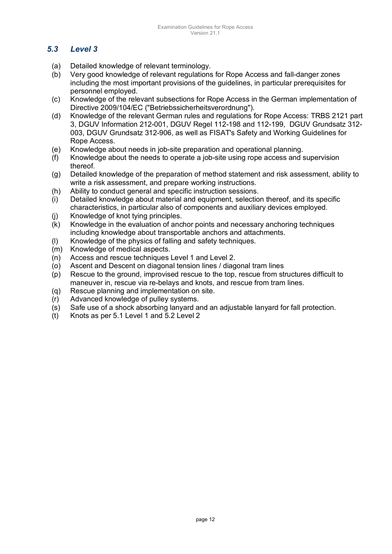# *5.3 Level 3*

- (a) Detailed knowledge of relevant terminology.
- (b) Very good knowledge of relevant regulations for Rope Access and fall-danger zones including the most important provisions of the guidelines, in particular prerequisites for personnel employed.
- (c) Knowledge of the relevant subsections for Rope Access in the German implementation of Directive 2009/104/EC ("Betriebssicherheitsverordnung").
- (d) Knowledge of the relevant German rules and regulations for Rope Access: TRBS 2121 part 3, DGUV Information 212-001, DGUV Regel 112-198 and 112-199, DGUV Grundsatz 312- 003, DGUV Grundsatz 312-906, as well as FISAT's Safety and Working Guidelines for Rope Access.
- (e) Knowledge about needs in job-site preparation and operational planning.
- (f) Knowledge about the needs to operate a job-site using rope access and supervision thereof.
- (g) Detailed knowledge of the preparation of method statement and risk assessment, ability to write a risk assessment, and prepare working instructions.
- (h) Ability to conduct general and specific instruction sessions.
- (i) Detailed knowledge about material and equipment, selection thereof, and its specific characteristics, in particular also of components and auxiliary devices employed.
- (j) Knowledge of knot tying principles.
- (k) Knowledge in the evaluation of anchor points and necessary anchoring techniques including knowledge about transportable anchors and attachments.
- (l) Knowledge of the physics of falling and safety techniques.
- (m) Knowledge of medical aspects.
- (n) Access and rescue techniques Level 1 and Level 2.
- (o) Ascent and Descent on diagonal tension lines / diagonal tram lines
- (p) Rescue to the ground, improvised rescue to the top, rescue from structures difficult to maneuver in, rescue via re-belays and knots, and rescue from tram lines.
- (q) Rescue planning and implementation on site.
- (r) Advanced knowledge of pulley systems.
- (s) Safe use of a shock absorbing lanyard and an adjustable lanyard for fall protection.
- (t) Knots as per 5.1 Level 1 and 5.2 Level 2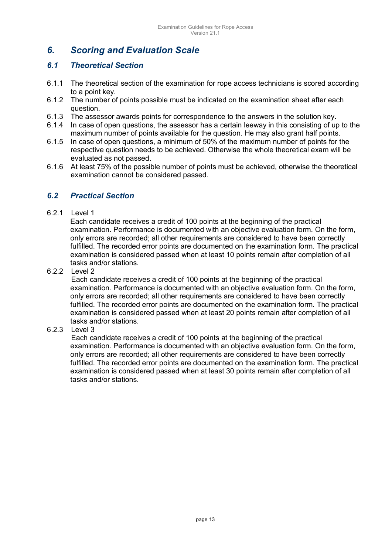# *6. Scoring and Evaluation Scale*

### *6.1 Theoretical Section*

- 6.1.1 The theoretical section of the examination for rope access technicians is scored according to a point key.
- 6.1.2 The number of points possible must be indicated on the examination sheet after each question.
- 6.1.3 The assessor awards points for correspondence to the answers in the solution key.
- 6.1.4 In case of open questions, the assessor has a certain leeway in this consisting of up to the maximum number of points available for the question. He may also grant half points.
- 6.1.5 In case of open questions, a minimum of 50% of the maximum number of points for the respective question needs to be achieved. Otherwise the whole theoretical exam will be evaluated as not passed.
- 6.1.6 At least 75% of the possible number of points must be achieved, otherwise the theoretical examination cannot be considered passed.

### *6.2 Practical Section*

### 6.2.1 Level 1

Each candidate receives a credit of 100 points at the beginning of the practical examination. Performance is documented with an objective evaluation form. On the form, only errors are recorded; all other requirements are considered to have been correctly fulfilled. The recorded error points are documented on the examination form. The practical examination is considered passed when at least 10 points remain after completion of all tasks and/or stations.

### 6.2.2 Level 2

 Each candidate receives a credit of 100 points at the beginning of the practical examination. Performance is documented with an objective evaluation form. On the form, only errors are recorded; all other requirements are considered to have been correctly fulfilled. The recorded error points are documented on the examination form. The practical examination is considered passed when at least 20 points remain after completion of all tasks and/or stations.

### 6.2.3 Level 3

 Each candidate receives a credit of 100 points at the beginning of the practical examination. Performance is documented with an objective evaluation form. On the form, only errors are recorded; all other requirements are considered to have been correctly fulfilled. The recorded error points are documented on the examination form. The practical examination is considered passed when at least 30 points remain after completion of all tasks and/or stations.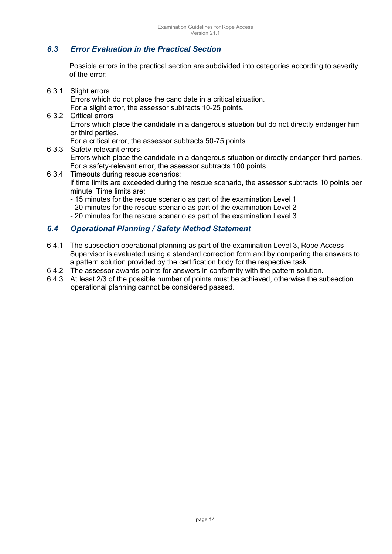# *6.3 Error Evaluation in the Practical Section*

Possible errors in the practical section are subdivided into categories according to severity of the error:

6.3.1 Slight errors

Errors which do not place the candidate in a critical situation.

For a slight error, the assessor subtracts 10-25 points.

6.3.2 Critical errors

Errors which place the candidate in a dangerous situation but do not directly endanger him or third parties.

For a critical error, the assessor subtracts 50-75 points.

6.3.3 Safety-relevant errors

Errors which place the candidate in a dangerous situation or directly endanger third parties. For a safety-relevant error, the assessor subtracts 100 points.

- 6.3.4 Timeouts during rescue scenarios: if time limits are exceeded during the rescue scenario, the assessor subtracts 10 points per minute. Time limits are:
	- 15 minutes for the rescue scenario as part of the examination Level 1
	- 20 minutes for the rescue scenario as part of the examination Level 2
	- 20 minutes for the rescue scenario as part of the examination Level 3

### *6.4 Operational Planning / Safety Method Statement*

- 6.4.1 The subsection operational planning as part of the examination Level 3, Rope Access Supervisor is evaluated using a standard correction form and by comparing the answers to a pattern solution provided by the certification body for the respective task.
- 6.4.2 The assessor awards points for answers in conformity with the pattern solution.
- 6.4.3 At least 2/3 of the possible number of points must be achieved, otherwise the subsection operational planning cannot be considered passed.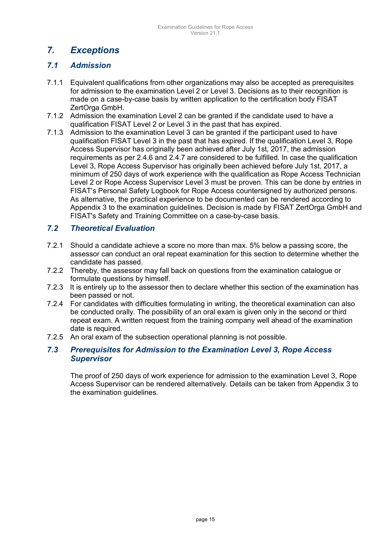# *7. Exceptions*

### *7.1 Admission*

- 7.1.1 Equivalent qualifications from other organizations may also be accepted as prerequisites for admission to the examination Level 2 or Level 3. Decisions as to their recognition is made on a case-by-case basis by written application to the certification body FISAT ZertOrga GmbH.
- 7.1.2 Admission the examination Level 2 can be granted if the candidate used to have a qualification FISAT Level 2 or Level 3 in the past that has expired.
- 7.1.3 Admission to the examination Level 3 can be granted if the participant used to have qualification FISAT Level 3 in the past that has expired. If the qualification Level 3, Rope Access Supervisor has originally been achieved after July 1st, 2017, the admission requirements as per 2.4.6 and 2.4.7 are considered to be fulfilled. In case the qualification Level 3, Rope Access Supervisor has originally been achieved before July 1st, 2017, a minimum of 250 days of work experience with the qualification as Rope Access Technician Level 2 or Rope Access Supervisor Level 3 must be proven. This can be done by entries in FISAT's Personal Safety Logbook for Rope Access countersigned by authorized persons. As alternative, the practical experience to be documented can be rendered according to Appendix 3 to the examination guidelines. Decision is made by FISAT ZertOrga GmbH and FISAT's Safety and Training Committee on a case-by-case basis.

### *7.2 Theoretical Evaluation*

- 7.2.1 Should a candidate achieve a score no more than max. 5% below a passing score, the assessor can conduct an oral repeat examination for this section to determine whether the candidate has passed.
- 7.2.2 Thereby, the assessor may fall back on questions from the examination catalogue or formulate questions by himself.
- 7.2.3 It is entirely up to the assessor then to declare whether this section of the examination has been passed or not.
- 7.2.4 For candidates with difficulties formulating in writing, the theoretical examination can also be conducted orally. The possibility of an oral exam is given only in the second or third repeat exam. A written request from the training company well ahead of the examination date is required.
- 7.2.5 An oral exam of the subsection operational planning is not possible.

### *7.3 Prerequisites for Admission to the Examination Level 3, Rope Access Supervisor*

The proof of 250 days of work experience for admission to the examination Level 3, Rope Access Supervisor can be rendered alternatively. Details can be taken from Appendix 3 to the examination guidelines.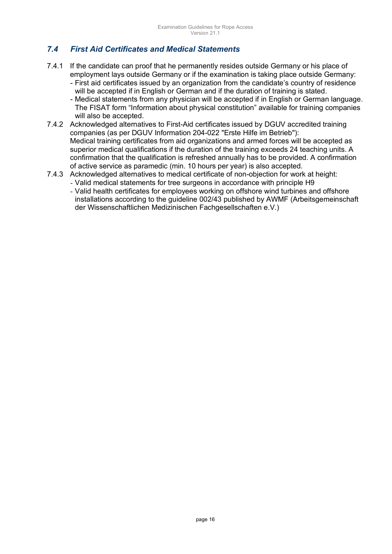# *7.4 First Aid Certificates and Medical Statements*

- 7.4.1 If the candidate can proof that he permanently resides outside Germany or his place of employment lays outside Germany or if the examination is taking place outside Germany:
	- First aid certificates issued by an organization from the candidate's country of residence will be accepted if in English or German and if the duration of training is stated.
	- Medical statements from any physician will be accepted if in English or German language. The FISAT form "Information about physical constitution" available for training companies will also be accepted.
- 7.4.2 Acknowledged alternatives to First-Aid certificates issued by DGUV accredited training companies (as per DGUV Information 204-022 "Erste Hilfe im Betrieb"): Medical training certificates from aid organizations and armed forces will be accepted as superior medical qualifications if the duration of the training exceeds 24 teaching units. A confirmation that the qualification is refreshed annually has to be provided. A confirmation of active service as paramedic (min. 10 hours per year) is also accepted.
- 7.4.3 Acknowledged alternatives to medical certificate of non-objection for work at height: - Valid medical statements for tree surgeons in accordance with principle H9
	- Valid health certificates for employees working on offshore wind turbines and offshore installations according to the guideline 002/43 published by AWMF (Arbeitsgemeinschaft der Wissenschaftlichen Medizinischen Fachgesellschaften e.V.)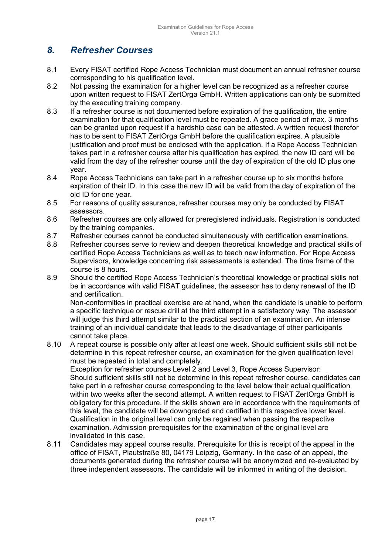# *8. Refresher Courses*

- 8.1 Every FISAT certified Rope Access Technician must document an annual refresher course corresponding to his qualification level.
- 8.2 Not passing the examination for a higher level can be recognized as a refresher course upon written request to FISAT ZertOrga GmbH. Written applications can only be submitted by the executing training company.
- 8.3 If a refresher course is not documented before expiration of the qualification, the entire examination for that qualification level must be repeated. A grace period of max. 3 months can be granted upon request if a hardship case can be attested. A written request therefor has to be sent to FISAT ZertOrga GmbH before the qualification expires. A plausible justification and proof must be enclosed with the application. If a Rope Access Technician takes part in a refresher course after his qualification has expired, the new ID card will be valid from the day of the refresher course until the day of expiration of the old ID plus one year.
- 8.4 Rope Access Technicians can take part in a refresher course up to six months before expiration of their ID. In this case the new ID will be valid from the day of expiration of the old ID for one year.
- 8.5 For reasons of quality assurance, refresher courses may only be conducted by FISAT assessors.
- 8.6 Refresher courses are only allowed for preregistered individuals. Registration is conducted by the training companies.
- 8.7 Refresher courses cannot be conducted simultaneously with certification examinations.
- 8.8 Refresher courses serve to review and deepen theoretical knowledge and practical skills of certified Rope Access Technicians as well as to teach new information. For Rope Access Supervisors, knowledge concerning risk assessments is extended. The time frame of the course is 8 hours.
- 8.9 Should the certified Rope Access Technician's theoretical knowledge or practical skills not be in accordance with valid FISAT guidelines, the assessor has to deny renewal of the ID and certification.

Non-conformities in practical exercise are at hand, when the candidate is unable to perform a specific technique or rescue drill at the third attempt in a satisfactory way. The assessor will judge this third attempt similar to the practical section of an examination. An intense training of an individual candidate that leads to the disadvantage of other participants cannot take place.

8.10 A repeat course is possible only after at least one week. Should sufficient skills still not be determine in this repeat refresher course, an examination for the given qualification level must be repeated in total and completely.

Exception for refresher courses Level 2 and Level 3, Rope Access Supervisor: Should sufficient skills still not be determine in this repeat refresher course, candidates can take part in a refresher course corresponding to the level below their actual qualification within two weeks after the second attempt. A written request to FISAT ZertOrga GmbH is obligatory for this procedure. If the skills shown are in accordance with the requirements of this level, the candidate will be downgraded and certified in this respective lower level. Qualification in the original level can only be regained when passing the respective examination. Admission prerequisites for the examination of the original level are invalidated in this case.

8.11 Candidates may appeal course results. Prerequisite for this is receipt of the appeal in the office of FISAT, Plautstraße 80, 04179 Leipzig, Germany. In the case of an appeal, the documents generated during the refresher course will be anonymized and re-evaluated by three independent assessors. The candidate will be informed in writing of the decision.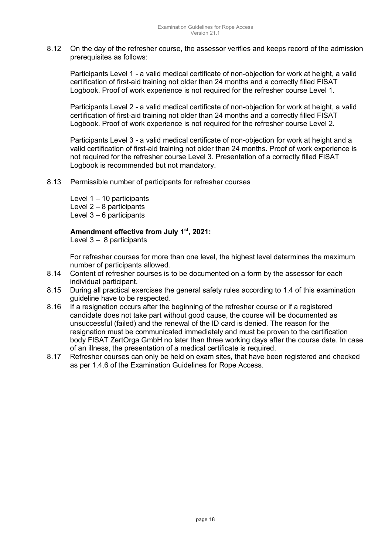8.12 On the day of the refresher course, the assessor verifies and keeps record of the admission prerequisites as follows:

Participants Level 1 - a valid medical certificate of non-objection for work at height, a valid certification of first-aid training not older than 24 months and a correctly filled FISAT Logbook. Proof of work experience is not required for the refresher course Level 1.

Participants Level 2 - a valid medical certificate of non-objection for work at height, a valid certification of first-aid training not older than 24 months and a correctly filled FISAT Logbook. Proof of work experience is not required for the refresher course Level 2.

Participants Level 3 - a valid medical certificate of non-objection for work at height and a valid certification of first-aid training not older than 24 months. Proof of work experience is not required for the refresher course Level 3. Presentation of a correctly filled FISAT Logbook is recommended but not mandatory.

8.13 Permissible number of participants for refresher courses

Level  $1 - 10$  participants Level  $2 - 8$  participants Level  $3 - 6$  participants

### **Amendment effective from July 1st, 2021:**

Level  $3 - 8$  participants

For refresher courses for more than one level, the highest level determines the maximum number of participants allowed.

- 8.14 Content of refresher courses is to be documented on a form by the assessor for each individual participant.
- 8.15 During all practical exercises the general safety rules according to 1.4 of this examination guideline have to be respected.
- 8.16 If a resignation occurs after the beginning of the refresher course or if a registered candidate does not take part without good cause, the course will be documented as unsuccessful (failed) and the renewal of the ID card is denied. The reason for the resignation must be communicated immediately and must be proven to the certification body FISAT ZertOrga GmbH no later than three working days after the course date. In case of an illness, the presentation of a medical certificate is required.
- 8.17 Refresher courses can only be held on exam sites, that have been registered and checked as per 1.4.6 of the Examination Guidelines for Rope Access.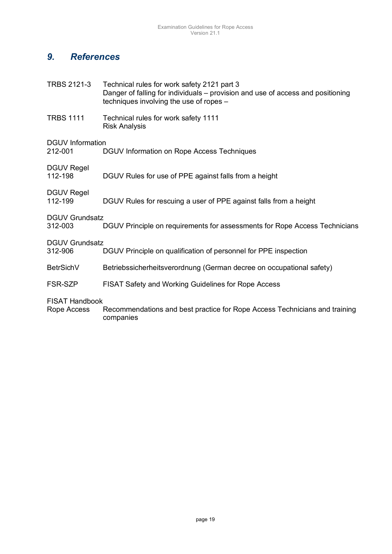# *9. References*

| <b>TRBS 2121-3</b>                   | Technical rules for work safety 2121 part 3<br>Danger of falling for individuals - provision and use of access and positioning<br>techniques involving the use of ropes - |
|--------------------------------------|---------------------------------------------------------------------------------------------------------------------------------------------------------------------------|
| <b>TRBS 1111</b>                     | Technical rules for work safety 1111<br><b>Risk Analysis</b>                                                                                                              |
| <b>DGUV</b> Information<br>212-001   | DGUV Information on Rope Access Techniques                                                                                                                                |
| <b>DGUV Regel</b><br>112-198         | DGUV Rules for use of PPE against falls from a height                                                                                                                     |
| <b>DGUV Regel</b><br>112-199         | DGUV Rules for rescuing a user of PPE against falls from a height                                                                                                         |
| <b>DGUV Grundsatz</b><br>312-003     | DGUV Principle on requirements for assessments for Rope Access Technicians                                                                                                |
| <b>DGUV Grundsatz</b><br>312-906     | DGUV Principle on qualification of personnel for PPE inspection                                                                                                           |
| <b>BetrSichV</b>                     | Betriebssicherheitsverordnung (German decree on occupational safety)                                                                                                      |
| FSR-SZP                              | <b>FISAT Safety and Working Guidelines for Rope Access</b>                                                                                                                |
| <b>FISAT Handbook</b><br>Rope Access | Recommendations and best practice for Rope Access Technicians and training<br>companies                                                                                   |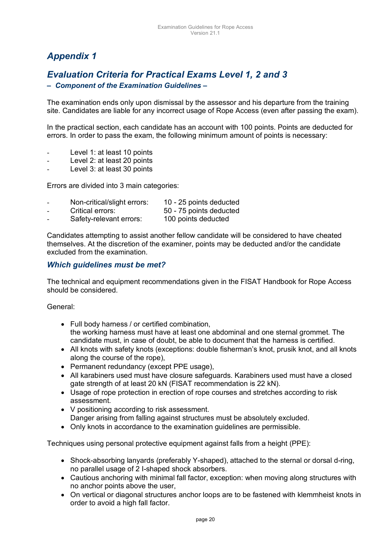# *Appendix 1*

# *Evaluation Criteria for Practical Exams Level 1, 2 and 3*

### *– Component of the Examination Guidelines –*

The examination ends only upon dismissal by the assessor and his departure from the training site. Candidates are liable for any incorrect usage of Rope Access (even after passing the exam).

In the practical section, each candidate has an account with 100 points. Points are deducted for errors. In order to pass the exam, the following minimum amount of points is necessary:

- Level 1: at least 10 points
- Level 2: at least 20 points
- Level 3: at least 30 points

Errors are divided into 3 main categories:

- Non-critical/slight errors: 10 25 points deducted
	- Critical errors: 50 75 points deducted
- Safety-relevant errors: 100 points deducted

Candidates attempting to assist another fellow candidate will be considered to have cheated themselves. At the discretion of the examiner, points may be deducted and/or the candidate excluded from the examination.

### *Which guidelines must be met?*

The technical and equipment recommendations given in the FISAT Handbook for Rope Access should be considered.

General:

- Full body harness / or certified combination, the working harness must have at least one abdominal and one sternal grommet. The candidate must, in case of doubt, be able to document that the harness is certified.
- All knots with safety knots (exceptions: double fisherman's knot, prusik knot, and all knots along the course of the rope),
- Permanent redundancy (except PPE usage),
- All karabiners used must have closure safeguards. Karabiners used must have a closed gate strength of at least 20 kN (FISAT recommendation is 22 kN).
- Usage of rope protection in erection of rope courses and stretches according to risk assessment.
- V positioning according to risk assessment. Danger arising from falling against structures must be absolutely excluded.
- Only knots in accordance to the examination guidelines are permissible.

Techniques using personal protective equipment against falls from a height (PPE):

- Shock-absorbing lanyards (preferably Y-shaped), attached to the sternal or dorsal d-ring, no parallel usage of 2 I-shaped shock absorbers.
- Cautious anchoring with minimal fall factor, exception: when moving along structures with no anchor points above the user,
- On vertical or diagonal structures anchor loops are to be fastened with klemmheist knots in order to avoid a high fall factor.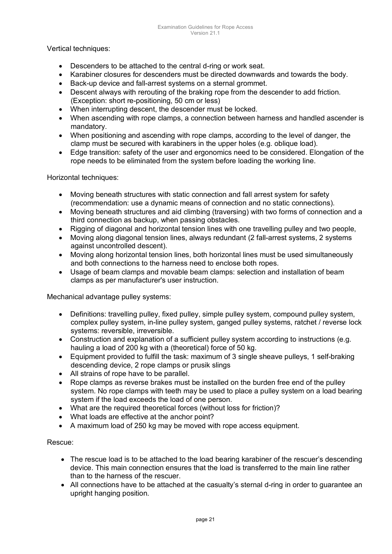Vertical techniques:

- Descenders to be attached to the central d-ring or work seat.
- Karabiner closures for descenders must be directed downwards and towards the body.
- Back-up device and fall-arrest systems on a sternal grommet.
- Descent always with rerouting of the braking rope from the descender to add friction. (Exception: short re-positioning, 50 cm or less)
- When interrupting descent, the descender must be locked.
- When ascending with rope clamps, a connection between harness and handled ascender is mandatory.
- When positioning and ascending with rope clamps, according to the level of danger, the clamp must be secured with karabiners in the upper holes (e.g. oblique load).
- Edge transition: safety of the user and ergonomics need to be considered. Elongation of the rope needs to be eliminated from the system before loading the working line.

Horizontal techniques:

- Moving beneath structures with static connection and fall arrest system for safety (recommendation: use a dynamic means of connection and no static connections).
- Moving beneath structures and aid climbing (traversing) with two forms of connection and a third connection as backup, when passing obstacles.
- Rigging of diagonal and horizontal tension lines with one travelling pulley and two people,
- Moving along diagonal tension lines, always redundant (2 fall-arrest systems, 2 systems against uncontrolled descent).
- Moving along horizontal tension lines, both horizontal lines must be used simultaneously and both connections to the harness need to enclose both ropes.
- Usage of beam clamps and movable beam clamps: selection and installation of beam clamps as per manufacturer's user instruction.

Mechanical advantage pulley systems:

- Definitions: travelling pulley, fixed pulley, simple pulley system, compound pulley system, complex pulley system, in-line pulley system, ganged pulley systems, ratchet / reverse lock systems: reversible, irreversible.
- Construction and explanation of a sufficient pulley system according to instructions (e.g. hauling a load of 200 kg with a (theoretical) force of 50 kg.
- Equipment provided to fulfill the task: maximum of 3 single sheave pulleys, 1 self-braking descending device, 2 rope clamps or prusik slings
- All strains of rope have to be parallel.
- Rope clamps as reverse brakes must be installed on the burden free end of the pulley system. No rope clamps with teeth may be used to place a pulley system on a load bearing system if the load exceeds the load of one person.
- What are the required theoretical forces (without loss for friction)?
- What loads are effective at the anchor point?
- A maximum load of 250 kg may be moved with rope access equipment.

### Rescue:

- The rescue load is to be attached to the load bearing karabiner of the rescuer's descending device. This main connection ensures that the load is transferred to the main line rather than to the harness of the rescuer.
- All connections have to be attached at the casualty's sternal d-ring in order to guarantee an upright hanging position.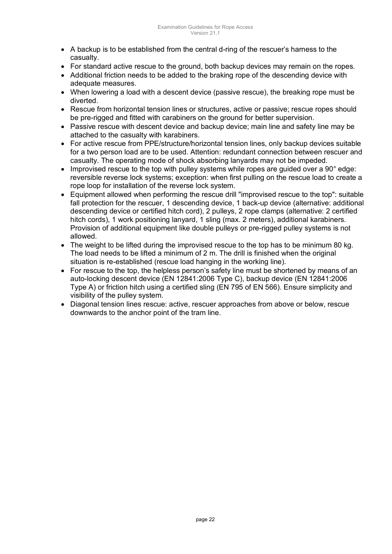- A backup is to be established from the central d-ring of the rescuer's harness to the casualty.
- For standard active rescue to the ground, both backup devices may remain on the ropes.
- Additional friction needs to be added to the braking rope of the descending device with adequate measures.
- When lowering a load with a descent device (passive rescue), the breaking rope must be diverted.
- Rescue from horizontal tension lines or structures, active or passive; rescue ropes should be pre-rigged and fitted with carabiners on the ground for better supervision.
- Passive rescue with descent device and backup device; main line and safety line may be attached to the casualty with karabiners.
- For active rescue from PPE/structure/horizontal tension lines, only backup devices suitable for a two person load are to be used. Attention: redundant connection between rescuer and casualty. The operating mode of shock absorbing lanyards may not be impeded.
- Improvised rescue to the top with pulley systems while ropes are quided over a 90° edge: reversible reverse lock systems; exception: when first pulling on the rescue load to create a rope loop for installation of the reverse lock system.
- Equipment allowed when performing the rescue drill "improvised rescue to the top": suitable fall protection for the rescuer, 1 descending device, 1 back-up device (alternative: additional descending device or certified hitch cord), 2 pulleys, 2 rope clamps (alternative: 2 certified hitch cords), 1 work positioning lanyard, 1 sling (max. 2 meters), additional karabiners. Provision of additional equipment like double pulleys or pre-rigged pulley systems is not allowed.
- The weight to be lifted during the improvised rescue to the top has to be minimum 80 kg. The load needs to be lifted a minimum of 2 m. The drill is finished when the original situation is re-established (rescue load hanging in the working line).
- For rescue to the top, the helpless person's safety line must be shortened by means of an auto-locking descent device (EN 12841:2006 Type C), backup device (EN 12841:2006 Type A) or friction hitch using a certified sling (EN 795 of EN 566). Ensure simplicity and visibility of the pulley system.
- Diagonal tension lines rescue: active, rescuer approaches from above or below, rescue downwards to the anchor point of the tram line.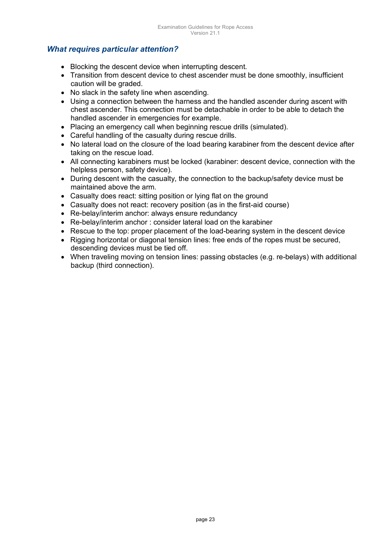### *What requires particular attention?*

- Blocking the descent device when interrupting descent.
- Transition from descent device to chest ascender must be done smoothly, insufficient caution will be graded.
- No slack in the safety line when ascending.
- Using a connection between the harness and the handled ascender during ascent with chest ascender. This connection must be detachable in order to be able to detach the handled ascender in emergencies for example.
- Placing an emergency call when beginning rescue drills (simulated).
- Careful handling of the casualty during rescue drills.
- No lateral load on the closure of the load bearing karabiner from the descent device after taking on the rescue load.
- All connecting karabiners must be locked (karabiner: descent device, connection with the helpless person, safety device).
- During descent with the casualty, the connection to the backup/safety device must be maintained above the arm.
- Casualty does react: sitting position or lying flat on the ground
- Casualty does not react: recovery position (as in the first-aid course)
- Re-belay/interim anchor: always ensure redundancy
- Re-belay/interim anchor : consider lateral load on the karabiner
- Rescue to the top: proper placement of the load-bearing system in the descent device
- Rigging horizontal or diagonal tension lines: free ends of the ropes must be secured, descending devices must be tied off.
- When traveling moving on tension lines: passing obstacles (e.g. re-belays) with additional backup (third connection).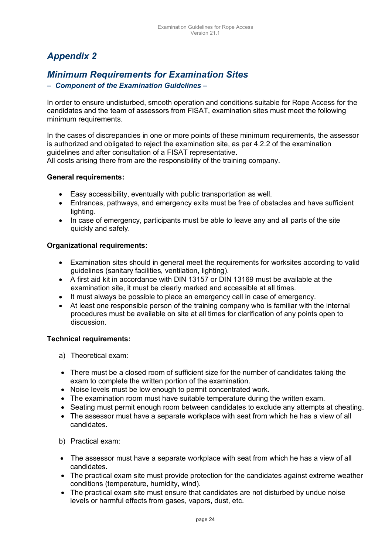# *Appendix 2*

# *Minimum Requirements for Examination Sites*

### *– Component of the Examination Guidelines –*

In order to ensure undisturbed, smooth operation and conditions suitable for Rope Access for the candidates and the team of assessors from FISAT, examination sites must meet the following minimum requirements.

In the cases of discrepancies in one or more points of these minimum requirements, the assessor is authorized and obligated to reject the examination site, as per 4.2.2 of the examination guidelines and after consultation of a FISAT representative.

All costs arising there from are the responsibility of the training company.

### **General requirements:**

- Easy accessibility, eventually with public transportation as well.
- Entrances, pathways, and emergency exits must be free of obstacles and have sufficient lighting.
- In case of emergency, participants must be able to leave any and all parts of the site quickly and safely.

### **Organizational requirements:**

- Examination sites should in general meet the requirements for worksites according to valid guidelines (sanitary facilities, ventilation, lighting).
- A first aid kit in accordance with DIN 13157 or DIN 13169 must be available at the examination site, it must be clearly marked and accessible at all times.
- It must always be possible to place an emergency call in case of emergency.
- At least one responsible person of the training company who is familiar with the internal procedures must be available on site at all times for clarification of any points open to discussion.

### **Technical requirements:**

- a) Theoretical exam:
- There must be a closed room of sufficient size for the number of candidates taking the exam to complete the written portion of the examination.
- Noise levels must be low enough to permit concentrated work.
- The examination room must have suitable temperature during the written exam.
- Seating must permit enough room between candidates to exclude any attempts at cheating.
- The assessor must have a separate workplace with seat from which he has a view of all candidates.
- b) Practical exam:
- The assessor must have a separate workplace with seat from which he has a view of all candidates.
- The practical exam site must provide protection for the candidates against extreme weather conditions (temperature, humidity, wind).
- The practical exam site must ensure that candidates are not disturbed by undue noise levels or harmful effects from gases, vapors, dust, etc.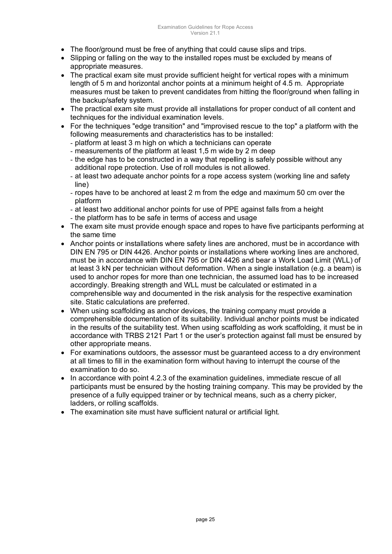- The floor/ground must be free of anything that could cause slips and trips.
- Slipping or falling on the way to the installed ropes must be excluded by means of appropriate measures.
- The practical exam site must provide sufficient height for vertical ropes with a minimum length of 5 m and horizontal anchor points at a minimum height of 4.5 m. Appropriate measures must be taken to prevent candidates from hitting the floor/ground when falling in the backup/safety system.
- The practical exam site must provide all installations for proper conduct of all content and techniques for the individual examination levels.
- For the techniques "edge transition" and "improvised rescue to the top" a platform with the following measurements and characteristics has to be installed:
	- platform at least 3 m high on which a technicians can operate
	- measurements of the platform at least 1,5 m wide by 2 m deep
	- the edge has to be constructed in a way that repelling is safely possible without any additional rope protection. Use of roll modules is not allowed.
	- at least two adequate anchor points for a rope access system (working line and safety line)
	- ropes have to be anchored at least 2 m from the edge and maximum 50 cm over the platform
	- at least two additional anchor points for use of PPE against falls from a height
	- the platform has to be safe in terms of access and usage
- The exam site must provide enough space and ropes to have five participants performing at the same time
- Anchor points or installations where safety lines are anchored, must be in accordance with DIN EN 795 or DIN 4426. Anchor points or installations where working lines are anchored, must be in accordance with DIN EN 795 or DIN 4426 and bear a Work Load Limit (WLL) of at least 3 kN per technician without deformation. When a single installation (e.g. a beam) is used to anchor ropes for more than one technician, the assumed load has to be increased accordingly. Breaking strength and WLL must be calculated or estimated in a comprehensible way and documented in the risk analysis for the respective examination site. Static calculations are preferred.
- When using scaffolding as anchor devices, the training company must provide a comprehensible documentation of its suitability. Individual anchor points must be indicated in the results of the suitability test. When using scaffolding as work scaffolding, it must be in accordance with TRBS 2121 Part 1 or the user's protection against fall must be ensured by other appropriate means.
- For examinations outdoors, the assessor must be guaranteed access to a dry environment at all times to fill in the examination form without having to interrupt the course of the examination to do so.
- In accordance with point 4.2.3 of the examination guidelines, immediate rescue of all participants must be ensured by the hosting training company. This may be provided by the presence of a fully equipped trainer or by technical means, such as a cherry picker, ladders, or rolling scaffolds.
- The examination site must have sufficient natural or artificial light.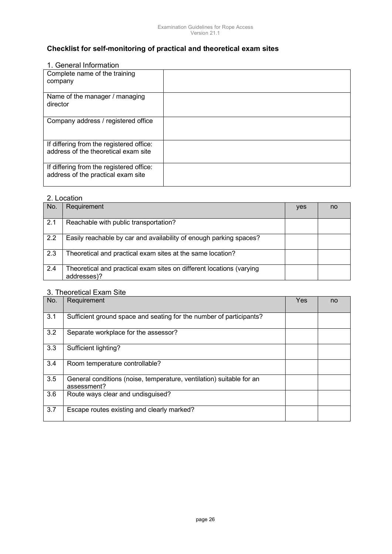# **Checklist for self-monitoring of practical and theoretical exam sites**

### 1. General Information

| Complete name of the training<br>company                                         |  |
|----------------------------------------------------------------------------------|--|
| Name of the manager / managing<br>director                                       |  |
| Company address / registered office                                              |  |
| If differing from the registered office:<br>address of the theoretical exam site |  |
| If differing from the registered office:<br>address of the practical exam site   |  |

#### 2. Location

| No. | Requirement                                                                         | yes | no |
|-----|-------------------------------------------------------------------------------------|-----|----|
| 2.1 | Reachable with public transportation?                                               |     |    |
| 2.2 | Easily reachable by car and availability of enough parking spaces?                  |     |    |
| 2.3 | Theoretical and practical exam sites at the same location?                          |     |    |
| 2.4 | Theoretical and practical exam sites on different locations (varying<br>addresses)? |     |    |

### 3. Theoretical Exam Site

| No. | Requirement                                                                         | Yes | no |
|-----|-------------------------------------------------------------------------------------|-----|----|
| 3.1 | Sufficient ground space and seating for the number of participants?                 |     |    |
| 3.2 | Separate workplace for the assessor?                                                |     |    |
| 3.3 | Sufficient lighting?                                                                |     |    |
| 3.4 | Room temperature controllable?                                                      |     |    |
| 3.5 | General conditions (noise, temperature, ventilation) suitable for an<br>assessment? |     |    |
| 3.6 | Route ways clear and undisguised?                                                   |     |    |
| 3.7 | Escape routes existing and clearly marked?                                          |     |    |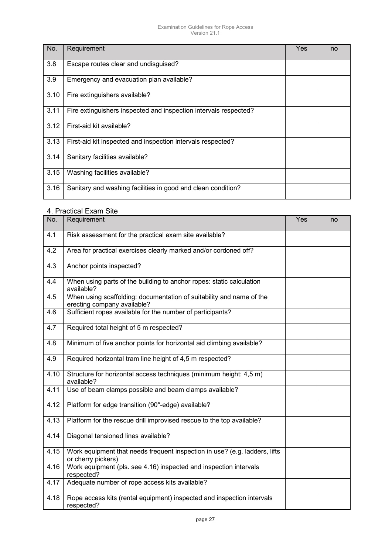#### Examination Guidelines for Rope Access Version 21.1

| No.  | Requirement                                                      | Yes | no |
|------|------------------------------------------------------------------|-----|----|
| 3.8  | Escape routes clear and undisquised?                             |     |    |
| 3.9  | Emergency and evacuation plan available?                         |     |    |
| 3.10 | Fire extinguishers available?                                    |     |    |
| 3.11 | Fire extinguishers inspected and inspection intervals respected? |     |    |
| 3.12 | First-aid kit available?                                         |     |    |
| 3.13 | First-aid kit inspected and inspection intervals respected?      |     |    |
| 3.14 | Sanitary facilities available?                                   |     |    |
| 3.15 | Washing facilities available?                                    |     |    |
| 3.16 | Sanitary and washing facilities in good and clean condition?     |     |    |

#### 4. Practical Exam Site

| No.  | Requirement                                                                                         | Yes | no |
|------|-----------------------------------------------------------------------------------------------------|-----|----|
| 4.1  | Risk assessment for the practical exam site available?                                              |     |    |
| 4.2  | Area for practical exercises clearly marked and/or cordoned off?                                    |     |    |
| 4.3  | Anchor points inspected?                                                                            |     |    |
| 4.4  | When using parts of the building to anchor ropes: static calculation<br>available?                  |     |    |
| 4.5  | When using scaffolding: documentation of suitability and name of the<br>erecting company available? |     |    |
| 4.6  | Sufficient ropes available for the number of participants?                                          |     |    |
| 4.7  | Required total height of 5 m respected?                                                             |     |    |
| 4.8  | Minimum of five anchor points for horizontal aid climbing available?                                |     |    |
| 4.9  | Required horizontal tram line height of 4,5 m respected?                                            |     |    |
| 4.10 | Structure for horizontal access techniques (minimum height: 4,5 m)<br>available?                    |     |    |
| 4.11 | Use of beam clamps possible and beam clamps available?                                              |     |    |
| 4.12 | Platform for edge transition (90°-edge) available?                                                  |     |    |
| 4.13 | Platform for the rescue drill improvised rescue to the top available?                               |     |    |
| 4.14 | Diagonal tensioned lines available?                                                                 |     |    |
| 4.15 | Work equipment that needs frequent inspection in use? (e.g. ladders, lifts<br>or cherry pickers)    |     |    |
| 4.16 | Work equipment (pls. see 4.16) inspected and inspection intervals<br>respected?                     |     |    |
| 4.17 | Adequate number of rope access kits available?                                                      |     |    |
| 4.18 | Rope access kits (rental equipment) inspected and inspection intervals<br>respected?                |     |    |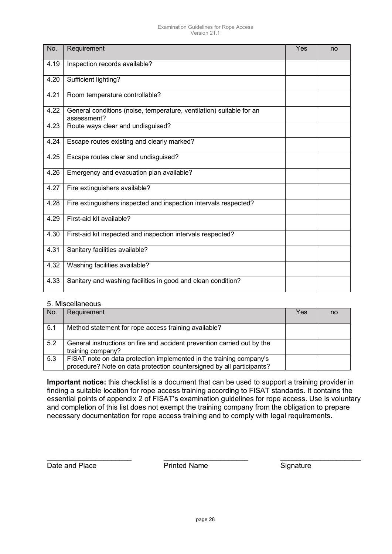#### Examination Guidelines for Rope Access Version 21.1

| No.  | Requirement                                                                         | Yes | no |
|------|-------------------------------------------------------------------------------------|-----|----|
| 4.19 | Inspection records available?                                                       |     |    |
| 4.20 | Sufficient lighting?                                                                |     |    |
| 4.21 | Room temperature controllable?                                                      |     |    |
| 4.22 | General conditions (noise, temperature, ventilation) suitable for an<br>assessment? |     |    |
| 4.23 | Route ways clear and undisguised?                                                   |     |    |
| 4.24 | Escape routes existing and clearly marked?                                          |     |    |
| 4.25 | Escape routes clear and undisguised?                                                |     |    |
| 4.26 | Emergency and evacuation plan available?                                            |     |    |
| 4.27 | Fire extinguishers available?                                                       |     |    |
| 4.28 | Fire extinguishers inspected and inspection intervals respected?                    |     |    |
| 4.29 | First-aid kit available?                                                            |     |    |
| 4.30 | First-aid kit inspected and inspection intervals respected?                         |     |    |
| 4.31 | Sanitary facilities available?                                                      |     |    |
| 4.32 | Washing facilities available?                                                       |     |    |
| 4.33 | Sanitary and washing facilities in good and clean condition?                        |     |    |

#### 5. Miscellaneous

| No. | Requirement                                                                                                                                  | Yes | no |  |
|-----|----------------------------------------------------------------------------------------------------------------------------------------------|-----|----|--|
| 5.1 | Method statement for rope access training available?                                                                                         |     |    |  |
| 5.2 | General instructions on fire and accident prevention carried out by the<br>training company?                                                 |     |    |  |
| 5.3 | FISAT note on data protection implemented in the training company's<br>procedure? Note on data protection countersigned by all participants? |     |    |  |

**Important notice:** this checklist is a document that can be used to support a training provider in finding a suitable location for rope access training according to FISAT standards. It contains the essential points of appendix 2 of FISAT's examination guidelines for rope access. Use is voluntary and completion of this list does not exempt the training company from the obligation to prepare necessary documentation for rope access training and to comply with legal requirements.

\_\_\_\_\_\_\_\_\_\_\_\_\_\_\_\_\_\_\_\_\_ \_\_\_\_\_\_\_\_\_\_\_\_\_\_\_\_\_\_\_\_\_ \_\_\_\_\_\_\_\_\_\_\_\_\_\_\_\_\_\_\_\_

Date and Place **Printed Name Date and Place Printed Name** Signature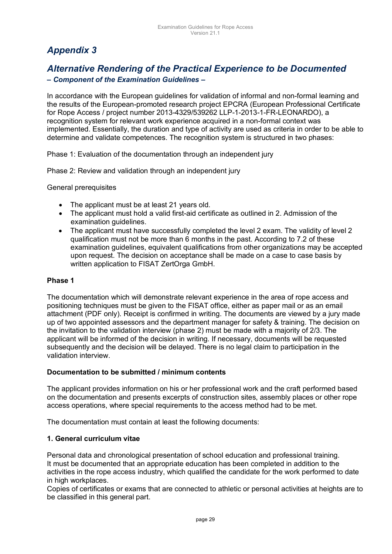# *Appendix 3*

# *Alternative Rendering of the Practical Experience to be Documented*

### *– Component of the Examination Guidelines –*

In accordance with the European guidelines for validation of informal and non-formal learning and the results of the European-promoted research project EPCRA (European Professional Certificate for Rope Access / project number 2013-4329/539262 LLP-1-2013-1-FR-LEONARDO), a recognition system for relevant work experience acquired in a non-formal context was implemented. Essentially, the duration and type of activity are used as criteria in order to be able to determine and validate competences. The recognition system is structured in two phases:

Phase 1: Evaluation of the documentation through an independent jury

Phase 2: Review and validation through an independent jury

General prerequisites

- The applicant must be at least 21 years old.
- The applicant must hold a valid first-aid certificate as outlined in 2. Admission of the examination quidelines.
- The applicant must have successfully completed the level 2 exam. The validity of level 2 qualification must not be more than 6 months in the past. According to 7.2 of these examination guidelines, equivalent qualifications from other organizations may be accepted upon request. The decision on acceptance shall be made on a case to case basis by written application to FISAT ZertOrga GmbH.

### **Phase 1**

The documentation which will demonstrate relevant experience in the area of rope access and positioning techniques must be given to the FISAT office, either as paper mail or as an email attachment (PDF only). Receipt is confirmed in writing. The documents are viewed by a jury made up of two appointed assessors and the department manager for safety & training. The decision on the invitation to the validation interview (phase 2) must be made with a majority of 2/3. The applicant will be informed of the decision in writing. If necessary, documents will be requested subsequently and the decision will be delayed. There is no legal claim to participation in the validation interview.

### **Documentation to be submitted / minimum contents**

The applicant provides information on his or her professional work and the craft performed based on the documentation and presents excerpts of construction sites, assembly places or other rope access operations, where special requirements to the access method had to be met.

The documentation must contain at least the following documents:

### **1. General curriculum vitae**

Personal data and chronological presentation of school education and professional training. It must be documented that an appropriate education has been completed in addition to the activities in the rope access industry, which qualified the candidate for the work performed to date in high workplaces.

Copies of certificates or exams that are connected to athletic or personal activities at heights are to be classified in this general part.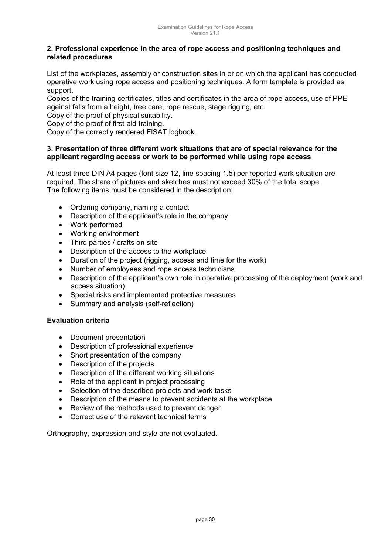### **2. Professional experience in the area of rope access and positioning techniques and related procedures**

List of the workplaces, assembly or construction sites in or on which the applicant has conducted operative work using rope access and positioning techniques. A form template is provided as support.

Copies of the training certificates, titles and certificates in the area of rope access, use of PPE against falls from a height, tree care, rope rescue, stage rigging, etc.

Copy of the proof of physical suitability.

Copy of the proof of first-aid training.

Copy of the correctly rendered FISAT logbook.

#### **3. Presentation of three different work situations that are of special relevance for the applicant regarding access or work to be performed while using rope access**

At least three DIN A4 pages (font size 12, line spacing 1.5) per reported work situation are required. The share of pictures and sketches must not exceed 30% of the total scope. The following items must be considered in the description:

- Ordering company, naming a contact
- Description of the applicant's role in the company
- Work performed
- Working environment
- Third parties / crafts on site
- Description of the access to the workplace
- Duration of the project (rigging, access and time for the work)
- Number of employees and rope access technicians
- Description of the applicant's own role in operative processing of the deployment (work and access situation)
- Special risks and implemented protective measures
- Summary and analysis (self-reflection)

### **Evaluation criteria**

- Document presentation
- Description of professional experience
- Short presentation of the company
- Description of the projects
- Description of the different working situations
- Role of the applicant in project processing
- Selection of the described projects and work tasks
- Description of the means to prevent accidents at the workplace
- Review of the methods used to prevent danger
- Correct use of the relevant technical terms

Orthography, expression and style are not evaluated.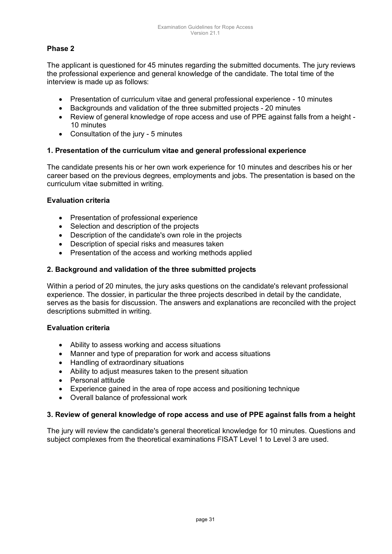### **Phase 2**

The applicant is questioned for 45 minutes regarding the submitted documents. The jury reviews the professional experience and general knowledge of the candidate. The total time of the interview is made up as follows:

- Presentation of curriculum vitae and general professional experience 10 minutes
- Backgrounds and validation of the three submitted projects 20 minutes
- Review of general knowledge of rope access and use of PPE against falls from a height 10 minutes
- Consultation of the jury 5 minutes

### **1. Presentation of the curriculum vitae and general professional experience**

The candidate presents his or her own work experience for 10 minutes and describes his or her career based on the previous degrees, employments and jobs. The presentation is based on the curriculum vitae submitted in writing.

### **Evaluation criteria**

- Presentation of professional experience
- Selection and description of the projects
- Description of the candidate's own role in the projects
- Description of special risks and measures taken
- Presentation of the access and working methods applied

### **2. Background and validation of the three submitted projects**

Within a period of 20 minutes, the jury asks questions on the candidate's relevant professional experience. The dossier, in particular the three projects described in detail by the candidate, serves as the basis for discussion. The answers and explanations are reconciled with the project descriptions submitted in writing.

### **Evaluation criteria**

- Ability to assess working and access situations
- Manner and type of preparation for work and access situations
- Handling of extraordinary situations
- Ability to adjust measures taken to the present situation
- Personal attitude
- Experience gained in the area of rope access and positioning technique
- Overall balance of professional work

### **3. Review of general knowledge of rope access and use of PPE against falls from a height**

The jury will review the candidate's general theoretical knowledge for 10 minutes. Questions and subject complexes from the theoretical examinations FISAT Level 1 to Level 3 are used.